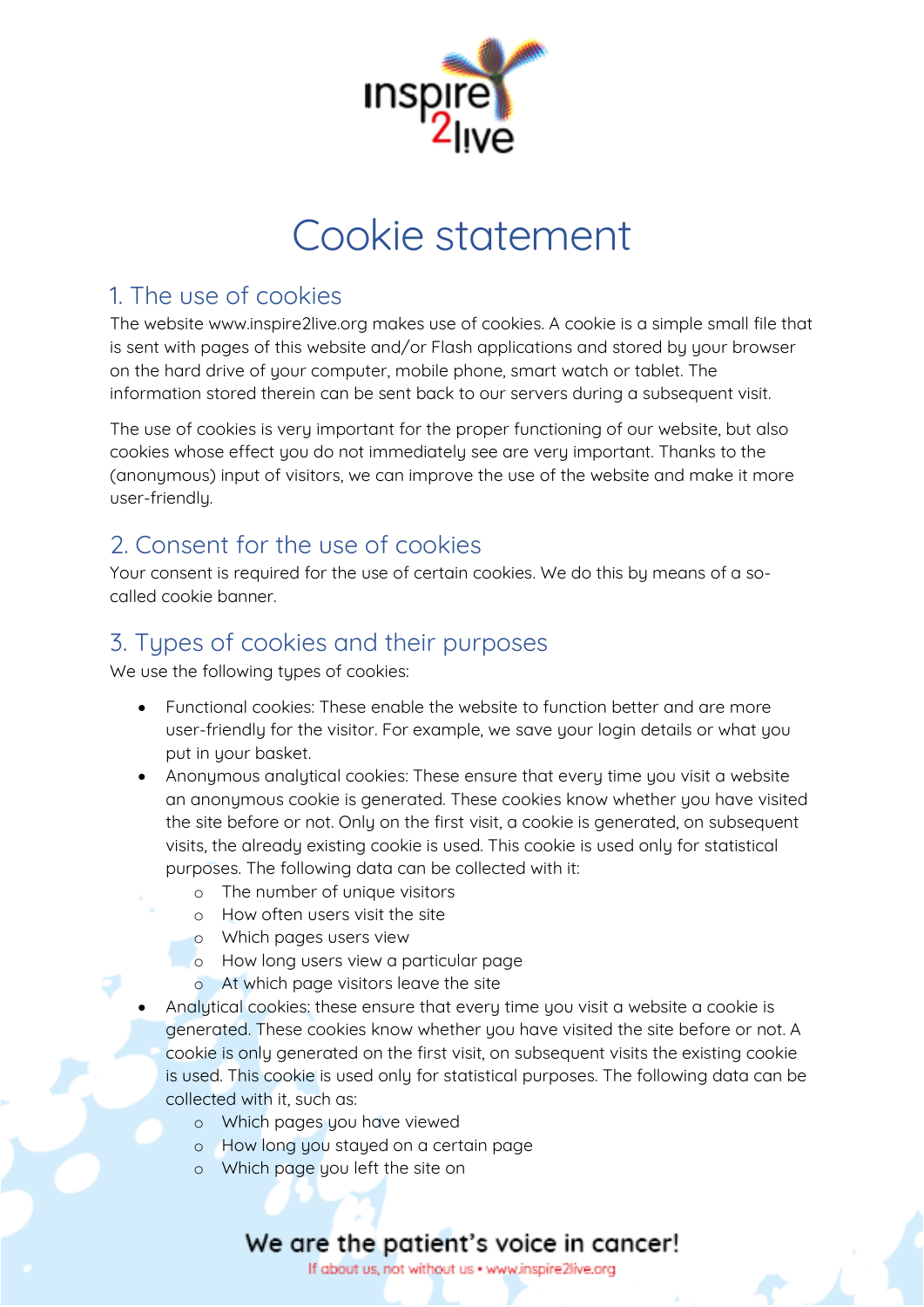

# Cookie statement

#### 1. The use of cookies

The website www.inspire2live.org makes use of cookies. A cookie is a simple small file that is sent with pages of this website and/or Flash applications and stored by your browser on the hard drive of your computer, mobile phone, smart watch or tablet. The information stored therein can be sent back to our servers during a subsequent visit.

The use of cookies is very important for the proper functioning of our website, but also cookies whose effect you do not immediately see are very important. Thanks to the (anonymous) input of visitors, we can improve the use of the website and make it more user-friendly.

## 2. Consent for the use of cookies

Your consent is required for the use of certain cookies. We do this by means of a socalled cookie banner.

## 3. Types of cookies and their purposes

We use the following types of cookies:

- Functional cookies: These enable the website to function better and are more user-friendly for the visitor. For example, we save your login details or what you put in your basket.
- Anonymous analytical cookies: These ensure that every time you visit a website an anonymous cookie is generated. These cookies know whether you have visited the site before or not. Only on the first visit, a cookie is generated, on subsequent visits, the already existing cookie is used. This cookie is used only for statistical purposes. The following data can be collected with it:
	- o The number of unique visitors
	- o How often users visit the site
	- o Which pages users view
	- o How long users view a particular page
	- o At which page visitors leave the site
- Analytical cookies: these ensure that every time you visit a website a cookie is generated. These cookies know whether you have visited the site before or not. A cookie is only generated on the first visit, on subsequent visits the existing cookie is used. This cookie is used only for statistical purposes. The following data can be collected with it, such as:
	- o Which pages you have viewed
	- o How long you stayed on a certain page
	- o Which page you left the site on

## We are the patient's voice in cancer!

If about us, not without us . www.inspire2live.org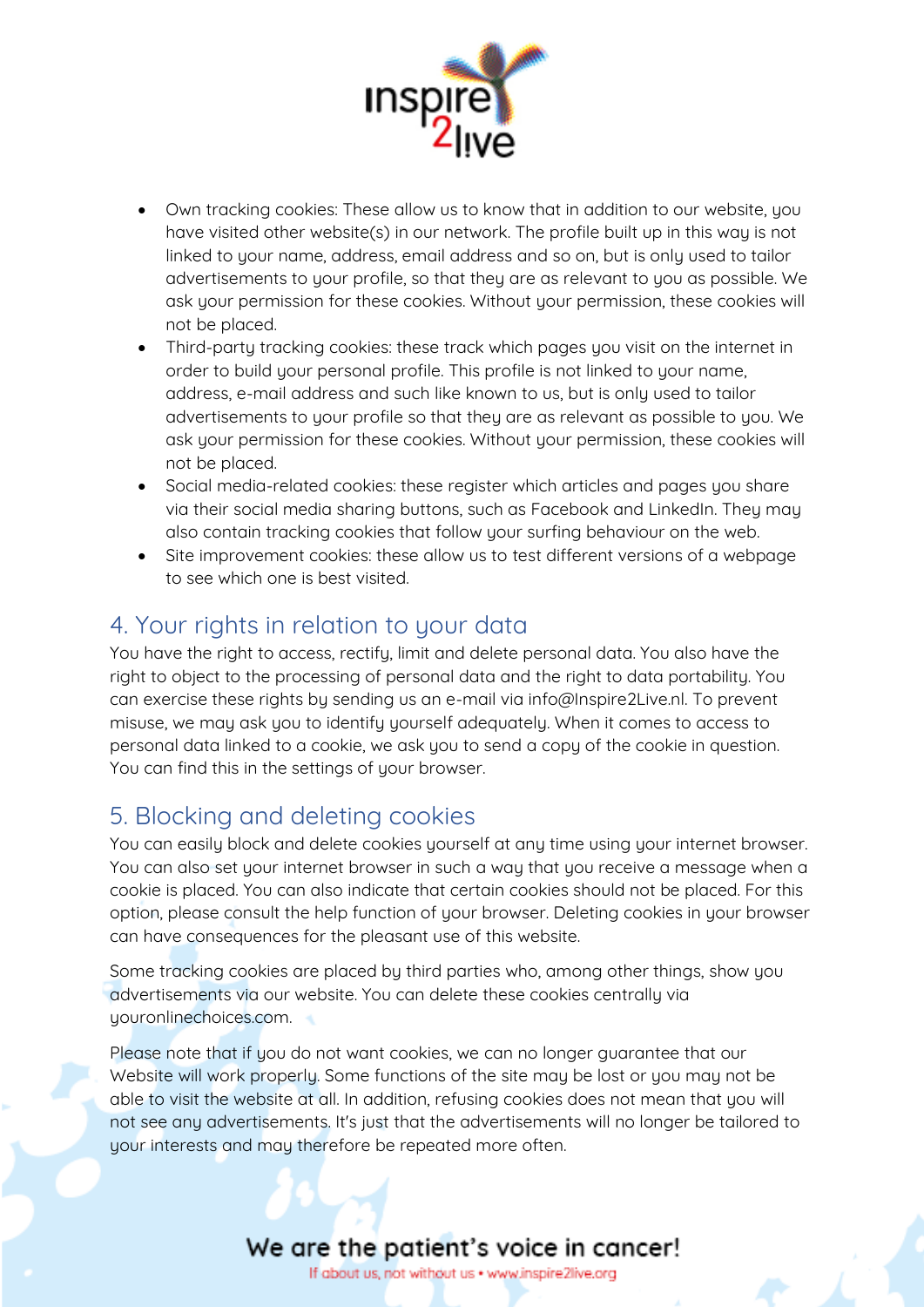

- Own tracking cookies: These allow us to know that in addition to our website, you have visited other website(s) in our network. The profile built up in this way is not linked to your name, address, email address and so on, but is only used to tailor advertisements to your profile, so that they are as relevant to you as possible. We ask your permission for these cookies. Without your permission, these cookies will not be placed.
- Third-party tracking cookies: these track which pages you visit on the internet in order to build your personal profile. This profile is not linked to your name, address, e-mail address and such like known to us, but is only used to tailor advertisements to your profile so that they are as relevant as possible to you. We ask your permission for these cookies. Without your permission, these cookies will not be placed.
- Social media-related cookies: these register which articles and pages you share via their social media sharing buttons, such as Facebook and LinkedIn. They may also contain tracking cookies that follow your surfing behaviour on the web.
- Site improvement cookies: these allow us to test different versions of a webpage to see which one is best visited.

#### 4. Your rights in relation to your data

You have the right to access, rectify, limit and delete personal data. You also have the right to object to the processing of personal data and the right to data portability. You can exercise these rights by sending us an e-mail via info@Inspire2Live.nl. To prevent misuse, we may ask you to identify yourself adequately. When it comes to access to personal data linked to a cookie, we ask you to send a copy of the cookie in question. You can find this in the settings of your browser.

#### 5. Blocking and deleting cookies

You can easily block and delete cookies yourself at any time using your internet browser. You can also set your internet browser in such a way that you receive a message when a cookie is placed. You can also indicate that certain cookies should not be placed. For this option, please consult the help function of your browser. Deleting cookies in your browser can have consequences for the pleasant use of this website.

Some tracking cookies are placed by third parties who, among other things, show you advertisements via our website. You can delete these cookies centrally via youronlinechoices.com.

Please note that if you do not want cookies, we can no longer guarantee that our Website will work properly. Some functions of the site may be lost or you may not be able to visit the website at all. In addition, refusing cookies does not mean that you will not see any advertisements. It's just that the advertisements will no longer be tailored to your interests and may therefore be repeated more often.

#### We are the patient's voice in cancer!

If about us, not without us . www.inspire2live.org